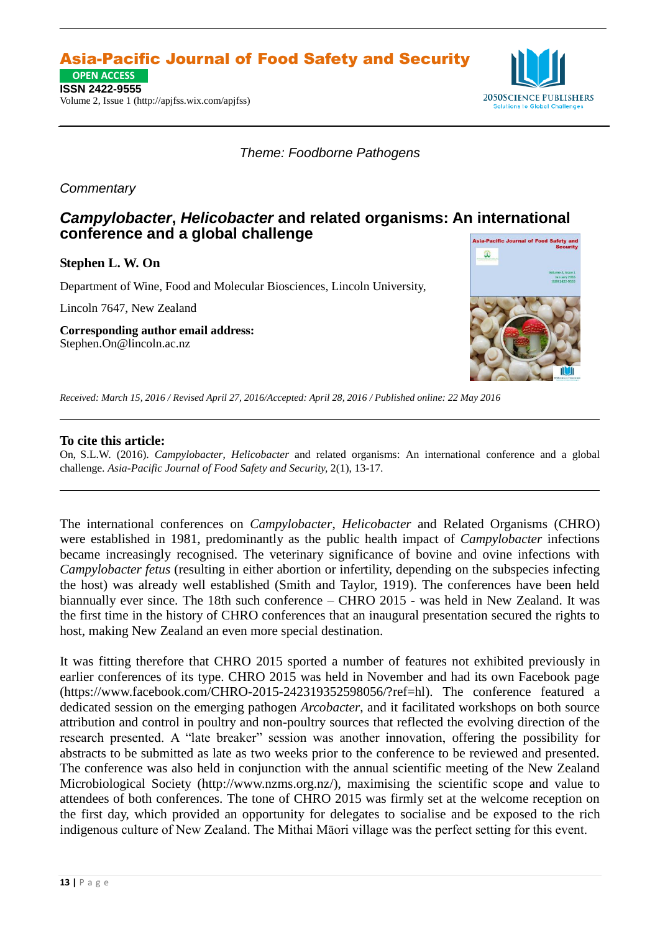Asia-Pacific Journal of Food Safety and Security

**ISSN 2422-9555 OPEN ACCESS**

Volume 2, Issue 1 (http://apjfss.wix.com/apjfss)



*Theme: Foodborne Pathogens*

## *Commentary*

## *Campylobacter***,** *Helicobacter* **and related organisms: An international conference and a global challenge**

**Stephen L. W. On**

Department of Wine, Food and Molecular Biosciences, Lincoln University,

Lincoln 7647, New Zealand

**Corresponding author email address:** [Stephen.On@lincoln.ac.nz](mailto:Stephen.On@lincoln.ac.nz)



*Received: March 15, 2016 / Revised April 27, 2016/Accepted: April 28, 2016 / Published online: 22 May 2016*

## **To cite this article:**

On, S.L.W. (2016). *Campylobacter*, *Helicobacter* and related organisms: An international conference and a global challenge. *Asia-Pacific Journal of Food Safety and Security,* 2(1), 13-17.

The international conferences on *Campylobacter*, *Helicobacter* and Related Organisms (CHRO) were established in 1981, predominantly as the public health impact of *Campylobacter* infections became increasingly recognised. The veterinary significance of bovine and ovine infections with *Campylobacter fetus* (resulting in either abortion or infertility, depending on the subspecies infecting the host) was already well established (Smith and Taylor, 1919). The conferences have been held biannually ever since. The 18th such conference – CHRO 2015 - was held in New Zealand. It was the first time in the history of CHRO conferences that an inaugural presentation secured the rights to host, making New Zealand an even more special destination.

It was fitting therefore that CHRO 2015 sported a number of features not exhibited previously in earlier conferences of its type. CHRO 2015 was held in November and had its own Facebook page [\(https://www.facebook.com/CHRO-2015-242319352598056/?ref=hl\)](https://www.facebook.com/CHRO-2015-242319352598056/?ref=hl). The conference featured a dedicated session on the emerging pathogen *Arcobacter*, and it facilitated workshops on both source attribution and control in poultry and non-poultry sources that reflected the evolving direction of the research presented. A "late breaker" session was another innovation, offering the possibility for abstracts to be submitted as late as two weeks prior to the conference to be reviewed and presented. The conference was also held in conjunction with the annual scientific meeting of the New Zealand Microbiological Society (http://www.nzms.org.nz/), maximising the scientific scope and value to attendees of both conferences. The tone of CHRO 2015 was firmly set at the welcome reception on the first day, which provided an opportunity for delegates to socialise and be exposed to the rich indigenous culture of New Zealand. The Mithai Māori village was the perfect setting for this event.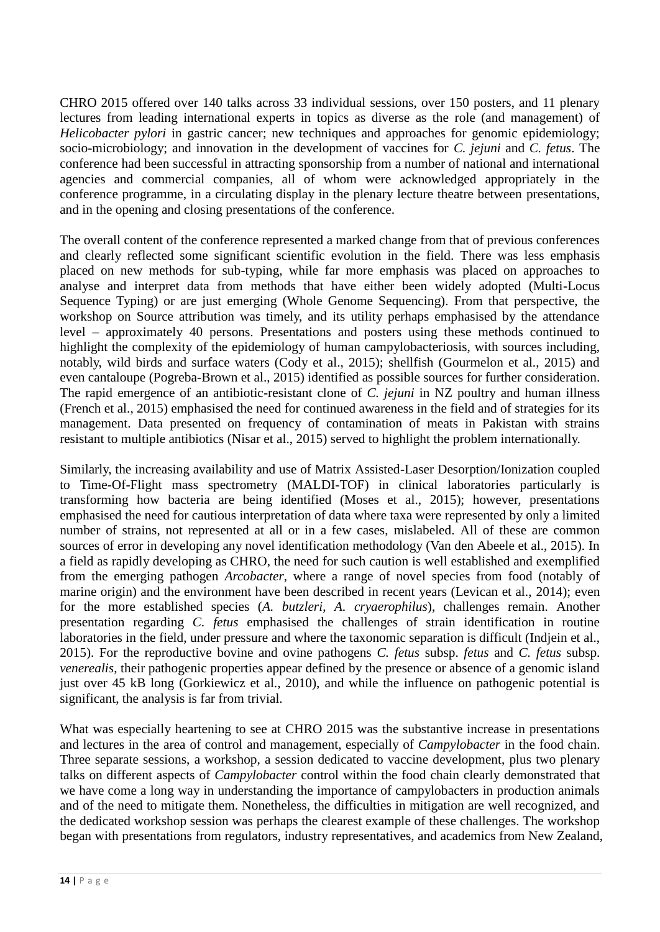CHRO 2015 offered over 140 talks across 33 individual sessions, over 150 posters, and 11 plenary lectures from leading international experts in topics as diverse as the role (and management) of *Helicobacter pylori* in gastric cancer; new techniques and approaches for genomic epidemiology; socio-microbiology; and innovation in the development of vaccines for *C. jejuni* and *C. fetus*. The conference had been successful in attracting sponsorship from a number of national and international agencies and commercial companies, all of whom were acknowledged appropriately in the conference programme, in a circulating display in the plenary lecture theatre between presentations, and in the opening and closing presentations of the conference.

The overall content of the conference represented a marked change from that of previous conferences and clearly reflected some significant scientific evolution in the field. There was less emphasis placed on new methods for sub-typing, while far more emphasis was placed on approaches to analyse and interpret data from methods that have either been widely adopted (Multi-Locus Sequence Typing) or are just emerging (Whole Genome Sequencing). From that perspective, the workshop on Source attribution was timely, and its utility perhaps emphasised by the attendance level – approximately 40 persons. Presentations and posters using these methods continued to highlight the complexity of the epidemiology of human campylobacteriosis, with sources including, notably, wild birds and surface waters (Cody et al., 2015); shellfish (Gourmelon et al., 2015) and even cantaloupe (Pogreba-Brown et al., 2015) identified as possible sources for further consideration. The rapid emergence of an antibiotic-resistant clone of *C. jejuni* in NZ poultry and human illness (French et al., 2015) emphasised the need for continued awareness in the field and of strategies for its management. Data presented on frequency of contamination of meats in Pakistan with strains resistant to multiple antibiotics (Nisar et al., 2015) served to highlight the problem internationally.

Similarly, the increasing availability and use of Matrix Assisted-Laser Desorption/Ionization coupled to Time-Of-Flight mass spectrometry (MALDI-TOF) in clinical laboratories particularly is transforming how bacteria are being identified (Moses et al., 2015); however, presentations emphasised the need for cautious interpretation of data where taxa were represented by only a limited number of strains, not represented at all or in a few cases, mislabeled. All of these are common sources of error in developing any novel identification methodology (Van den Abeele et al., 2015). In a field as rapidly developing as CHRO, the need for such caution is well established and exemplified from the emerging pathogen *Arcobacter*, where a range of novel species from food (notably of marine origin) and the environment have been described in recent years (Levican et al., 2014); even for the more established species (*A. butzleri*, *A. cryaerophilus*), challenges remain. Another presentation regarding *C. fetus* emphasised the challenges of strain identification in routine laboratories in the field, under pressure and where the taxonomic separation is difficult (Indjein et al., 2015). For the reproductive bovine and ovine pathogens *C. fetus* subsp. *fetus* and *C. fetus* subsp. *venerealis*, their pathogenic properties appear defined by the presence or absence of a genomic island just over 45 kB long (Gorkiewicz et al., 2010), and while the influence on pathogenic potential is significant, the analysis is far from trivial.

What was especially heartening to see at CHRO 2015 was the substantive increase in presentations and lectures in the area of control and management, especially of *Campylobacter* in the food chain. Three separate sessions, a workshop, a session dedicated to vaccine development, plus two plenary talks on different aspects of *Campylobacter* control within the food chain clearly demonstrated that we have come a long way in understanding the importance of campylobacters in production animals and of the need to mitigate them. Nonetheless, the difficulties in mitigation are well recognized, and the dedicated workshop session was perhaps the clearest example of these challenges. The workshop began with presentations from regulators, industry representatives, and academics from New Zealand,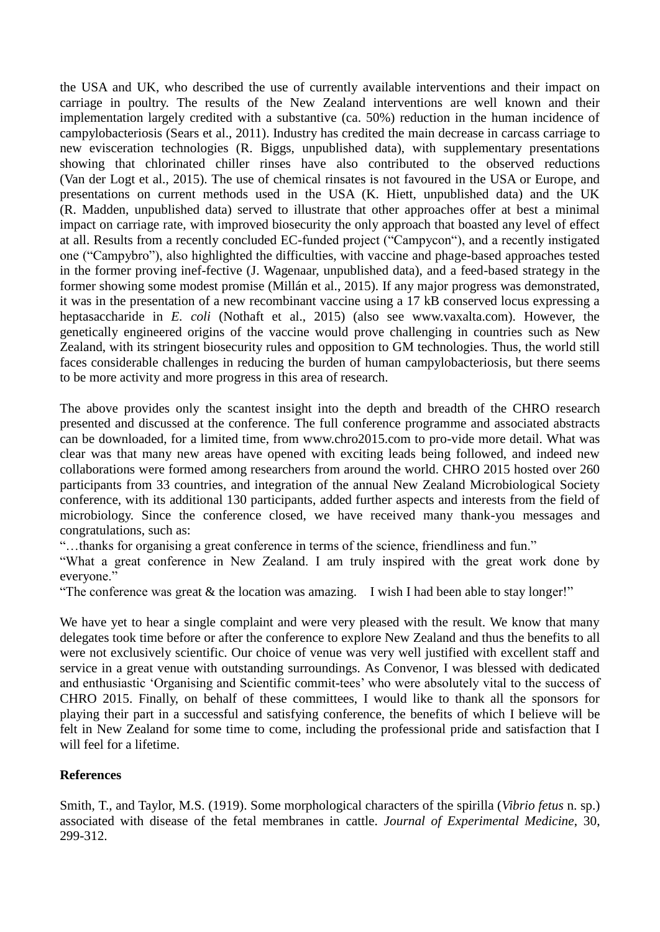the USA and UK, who described the use of currently available interventions and their impact on carriage in poultry. The results of the New Zealand interventions are well known and their implementation largely credited with a substantive (ca. 50%) reduction in the human incidence of campylobacteriosis (Sears et al., 2011). Industry has credited the main decrease in carcass carriage to new evisceration technologies (R. Biggs, unpublished data), with supplementary presentations showing that chlorinated chiller rinses have also contributed to the observed reductions (Van der Logt et al., 2015). The use of chemical rinsates is not favoured in the USA or Europe, and presentations on current methods used in the USA (K. Hiett, unpublished data) and the UK (R. Madden, unpublished data) served to illustrate that other approaches offer at best a minimal impact on carriage rate, with improved biosecurity the only approach that boasted any level of effect at all. Results from a recently concluded EC-funded project ("Campycon"), and a recently instigated one ("Campybro"), also highlighted the difficulties, with vaccine and phage-based approaches tested in the former proving inef-fective (J. Wagenaar, unpublished data), and a feed-based strategy in the former showing some modest promise (Millán et al., 2015). If any major progress was demonstrated, it was in the presentation of a new recombinant vaccine using a 17 kB conserved locus expressing a heptasaccharide in *E. coli* (Nothaft et al., 2015) (also see www.vaxalta.com). However, the genetically engineered origins of the vaccine would prove challenging in countries such as New Zealand, with its stringent biosecurity rules and opposition to GM technologies. Thus, the world still faces considerable challenges in reducing the burden of human campylobacteriosis, but there seems to be more activity and more progress in this area of research.

The above provides only the scantest insight into the depth and breadth of the CHRO research presented and discussed at the conference. The full conference programme and associated abstracts can be downloaded, for a limited time, from www.chro2015.com to pro-vide more detail. What was clear was that many new areas have opened with exciting leads being followed, and indeed new collaborations were formed among researchers from around the world. CHRO 2015 hosted over 260 participants from 33 countries, and integration of the annual New Zealand Microbiological Society conference, with its additional 130 participants, added further aspects and interests from the field of microbiology. Since the conference closed, we have received many thank-you messages and congratulations, such as:

"…thanks for organising a great conference in terms of the science, friendliness and fun."

"What a great conference in New Zealand. I am truly inspired with the great work done by everyone."

"The conference was great  $&$  the location was amazing. I wish I had been able to stay longer!"

We have yet to hear a single complaint and were very pleased with the result. We know that many delegates took time before or after the conference to explore New Zealand and thus the benefits to all were not exclusively scientific. Our choice of venue was very well justified with excellent staff and service in a great venue with outstanding surroundings. As Convenor, I was blessed with dedicated and enthusiastic 'Organising and Scientific commit-tees' who were absolutely vital to the success of CHRO 2015. Finally, on behalf of these committees, I would like to thank all the sponsors for playing their part in a successful and satisfying conference, the benefits of which I believe will be felt in New Zealand for some time to come, including the professional pride and satisfaction that I will feel for a lifetime.

## **References**

Smith, T., and Taylor, M.S. (1919). Some morphological characters of the spirilla (*Vibrio fetus* n. sp.) associated with disease of the fetal membranes in cattle. *Journal of Experimental Medicine*, 30, 299-312.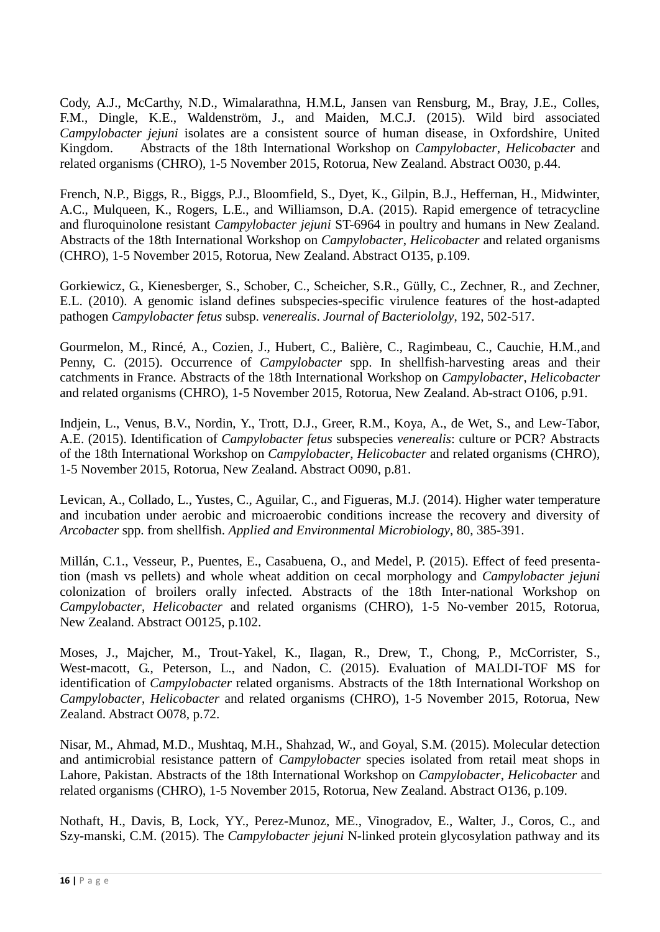Cody, A.J., McCarthy, N.D., Wimalarathna, H.M.L, Jansen van Rensburg, M., Bray, J.E., Colles, F.M., Dingle, K.E., Waldenström, J., and Maiden, M.C.J. (2015). Wild bird associated *Campylobacter jejuni* isolates are a consistent source of human disease, in Oxfordshire, United Kingdom. Abstracts of the 18th International Workshop on *Campylobacter*, *Helicobacter* and related organisms (CHRO), 1-5 November 2015, Rotorua, New Zealand. Abstract O030, p.44.

French, N.P., Biggs, R., Biggs, P.J., Bloomfield, S., Dyet, K., Gilpin, B.J., Heffernan, H., Midwinter, A.C., Mulqueen, K., Rogers, L.E., and Williamson, D.A. (2015). Rapid emergence of tetracycline and fluroquinolone resistant *Campylobacter jejuni* ST-6964 in poultry and humans in New Zealand. Abstracts of the 18th International Workshop on *Campylobacter*, *Helicobacter* and related organisms (CHRO), 1-5 November 2015, Rotorua, New Zealand. Abstract O135, p.109.

Gorkiewicz, G., Kienesberger, S., Schober, C., Scheicher, S.R., Gülly, C., Zechner, R., and Zechner, E.L. (2010). A genomic island defines subspecies-specific virulence features of the host-adapted pathogen *Campylobacter fetus* subsp. *venerealis*. *Journal of Bacteriololgy*, 192, 502-517.

Gourmelon, M., Rincé, A., Cozien, J., Hubert, C., Balière, C., Ragimbeau, C., Cauchie, H.M.,and Penny, C. (2015). Occurrence of *Campylobacter* spp. In shellfish-harvesting areas and their catchments in France. Abstracts of the 18th International Workshop on *Campylobacter*, *Helicobacter* and related organisms (CHRO), 1-5 November 2015, Rotorua, New Zealand. Ab-stract O106, p.91.

Indjein, L., Venus, B.V., Nordin, Y., Trott, D.J., Greer, R.M., Koya, A., de Wet, S., and Lew-Tabor, A.E. (2015). Identification of *Campylobacter fetus* subspecies *venerealis*: culture or PCR? Abstracts of the 18th International Workshop on *Campylobacter*, *Helicobacter* and related organisms (CHRO), 1-5 November 2015, Rotorua, New Zealand. Abstract O090, p.81.

Levican, A., Collado, L., Yustes, C., Aguilar, C., and Figueras, M.J. (2014). Higher water temperature and incubation under aerobic and microaerobic conditions increase the recovery and diversity of *Arcobacter* spp. from shellfish. *Applied and Environmental Microbiology*, 80, 385-391.

Millán, C.1., Vesseur, P., Puentes, E., Casabuena, O., and Medel, P. (2015). Effect of feed presentation (mash vs pellets) and whole wheat addition on cecal morphology and *Campylobacter jejuni* colonization of broilers orally infected. Abstracts of the 18th Inter-national Workshop on *Campylobacter*, *Helicobacter* and related organisms (CHRO), 1-5 No-vember 2015, Rotorua, New Zealand. Abstract O0125, p.102.

Moses, J., Majcher, M., Trout-Yakel, K., Ilagan, R., Drew, T., Chong, P., McCorrister, S., West-macott, G., Peterson, L., and Nadon, C. (2015). Evaluation of MALDI-TOF MS for identification of *Campylobacter* related organisms. Abstracts of the 18th International Workshop on *Campylobacter*, *Helicobacter* and related organisms (CHRO), 1-5 November 2015, Rotorua, New Zealand. Abstract O078, p.72.

Nisar, M., Ahmad, M.D., Mushtaq, M.H., Shahzad, W., and Goyal, S.M. (2015). Molecular detection and antimicrobial resistance pattern of *Campylobacter* species isolated from retail meat shops in Lahore, Pakistan. Abstracts of the 18th International Workshop on *Campylobacter*, *Helicobacter* and related organisms (CHRO), 1-5 November 2015, Rotorua, New Zealand. Abstract O136, p.109.

Nothaft, H., Davis, B, Lock, YY., Perez-Munoz, ME., Vinogradov, E., Walter, J., Coros, C., and Szy-manski, C.M. (2015). The *Campylobacter jejuni* N-linked protein glycosylation pathway and its